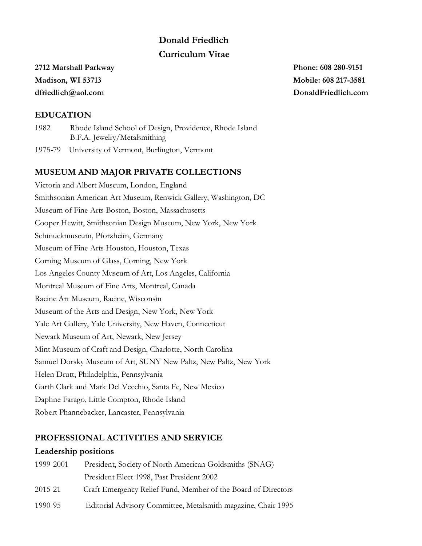# **Donald Friedlich Curriculum Vitae**

## **2712 Marshall Parkway Phone: 608 280-9151 Madison, WI 53713 Mobile: 608 217-3581 dfriedlich@aol.com DonaldFriedlich.com**

## **EDUCATION**

 1982 Rhode Island School of Design, Providence, Rhode Island B.F.A. Jewelry/Metalsmithing

1975-79 University of Vermont, Burlington, Vermont

## **MUSEUM AND MAJOR PRIVATE COLLECTIONS**

Victoria and Albert Museum, London, England Smithsonian American Art Museum, Renwick Gallery, Washington, DC Museum of Fine Arts Boston, Boston, Massachusetts Cooper Hewitt, Smithsonian Design Museum, New York, New York Schmuckmuseum, Pforzheim, Germany Museum of Fine Arts Houston, Houston, Texas Corning Museum of Glass, Corning, New York Los Angeles County Museum of Art, Los Angeles, California Montreal Museum of Fine Arts, Montreal, Canada Racine Art Museum, Racine, Wisconsin Museum of the Arts and Design, New York, New York Yale Art Gallery, Yale University, New Haven, Connecticut Newark Museum of Art, Newark, New Jersey Mint Museum of Craft and Design, Charlotte, North Carolina Samuel Dorsky Museum of Art, SUNY New Paltz, New Paltz, New York Helen Drutt, Philadelphia, Pennsylvania Garth Clark and Mark Del Vecchio, Santa Fe, New Mexico Daphne Farago, Little Compton, Rhode Island Robert Phannebacker, Lancaster, Pennsylvania

## **PROFESSIONAL ACTIVITIES AND SERVICE**

### **Leadership positions**

| 1999-2001 | President, Society of North American Goldsmiths (SNAG)        |
|-----------|---------------------------------------------------------------|
|           | President Elect 1998, Past President 2002                     |
| 2015-21   | Craft Emergency Relief Fund, Member of the Board of Directors |
| 1990-95   | Editorial Advisory Committee, Metalsmith magazine, Chair 1995 |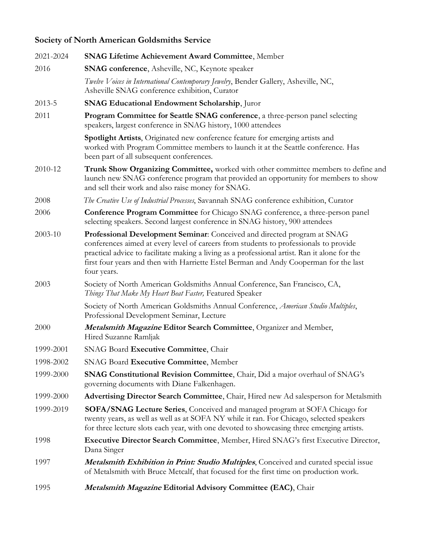# **Society of North American Goldsmiths Service**

| 2021-2024 | <b>SNAG Lifetime Achievement Award Committee, Member</b>                                                                                                                                                                                                                                                                                                                   |
|-----------|----------------------------------------------------------------------------------------------------------------------------------------------------------------------------------------------------------------------------------------------------------------------------------------------------------------------------------------------------------------------------|
| 2016      | <b>SNAG conference</b> , Asheville, NC, Keynote speaker                                                                                                                                                                                                                                                                                                                    |
|           | Twelve Voices in International Contemporary Jewelry, Bender Gallery, Asheville, NC,<br>Asheville SNAG conference exhibition, Curator                                                                                                                                                                                                                                       |
| 2013-5    | SNAG Educational Endowment Scholarship, Juror                                                                                                                                                                                                                                                                                                                              |
| 2011      | <b>Program Committee for Seattle SNAG conference</b> , a three-person panel selecting<br>speakers, largest conference in SNAG history, 1000 attendees                                                                                                                                                                                                                      |
|           | Spotlight Artists, Originated new conference feature for emerging artists and<br>worked with Program Committee members to launch it at the Seattle conference. Has<br>been part of all subsequent conferences.                                                                                                                                                             |
| 2010-12   | Trunk Show Organizing Committee, worked with other committee members to define and<br>launch new SNAG conference program that provided an opportunity for members to show<br>and sell their work and also raise money for SNAG.                                                                                                                                            |
| 2008      | The Creative Use of Industrial Processes, Savannah SNAG conference exhibition, Curator                                                                                                                                                                                                                                                                                     |
| 2006      | <b>Conference Program Committee</b> for Chicago SNAG conference, a three-person panel<br>selecting speakers. Second largest conference in SNAG history, 900 attendees                                                                                                                                                                                                      |
| 2003-10   | Professional Development Seminar: Conceived and directed program at SNAG<br>conferences aimed at every level of careers from students to professionals to provide<br>practical advice to facilitate making a living as a professional artist. Ran it alone for the<br>first four years and then with Harriette Estel Berman and Andy Cooperman for the last<br>four years. |
| 2003      | Society of North American Goldsmiths Annual Conference, San Francisco, CA,<br>Things That Make My Heart Beat Faster, Featured Speaker                                                                                                                                                                                                                                      |
|           | Society of North American Goldsmiths Annual Conference, American Studio Multiples,<br>Professional Development Seminar, Lecture                                                                                                                                                                                                                                            |
| 2000      | Metalsmith Magazine Editor Search Committee, Organizer and Member,<br>Hired Suzanne Ramljak                                                                                                                                                                                                                                                                                |
| 1999-2001 | SNAG Board Executive Committee, Chair                                                                                                                                                                                                                                                                                                                                      |
| 1998-2002 | SNAG Board Executive Committee, Member                                                                                                                                                                                                                                                                                                                                     |
| 1999-2000 | <b>SNAG Constitutional Revision Committee, Chair, Did a major overhaul of SNAG's</b><br>governing documents with Diane Falkenhagen.                                                                                                                                                                                                                                        |
| 1999-2000 | Advertising Director Search Committee, Chair, Hired new Ad salesperson for Metalsmith                                                                                                                                                                                                                                                                                      |
| 1999-2019 | <b>SOFA/SNAG Lecture Series</b> , Conceived and managed program at SOFA Chicago for<br>twenty years, as well as well as at SOFA NY while it ran. For Chicago, selected speakers<br>for three lecture slots each year, with one devoted to showcasing three emerging artists.                                                                                               |
| 1998      | <b>Executive Director Search Committee, Member, Hired SNAG's first Executive Director,</b><br>Dana Singer                                                                                                                                                                                                                                                                  |
| 1997      | <b>Metalsmith Exhibition in Print: Studio Multiples, Conceived and curated special issue</b><br>of Metalsmith with Bruce Metcalf, that focused for the first time on production work.                                                                                                                                                                                      |
| 1995      | Metalsmith Magazine Editorial Advisory Committee (EAC), Chair                                                                                                                                                                                                                                                                                                              |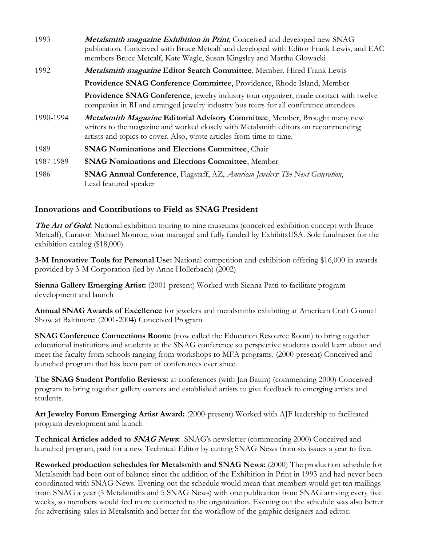| 1993      | Metalsmith magazine Exhibition in Print, Conceived and developed new SNAG<br>publication. Conceived with Bruce Metcalf and developed with Editor Frank Lewis, and EAC<br>members Bruce Metcalf, Kate Wagle, Susan Kingsley and Martha Glowacki  |
|-----------|-------------------------------------------------------------------------------------------------------------------------------------------------------------------------------------------------------------------------------------------------|
| 1992      | Metalsmith magazine Editor Search Committee, Member, Hired Frank Lewis                                                                                                                                                                          |
|           | Providence SNAG Conference Committee, Providence, Rhode Island, Member                                                                                                                                                                          |
|           | <b>Providence SNAG Conference</b> , jewelry industry tour organizer, made contact with twelve<br>companies in RI and arranged jewelry industry bus tours for all conference attendees                                                           |
| 1990-1994 | <b>Metalsmith Magazine Editorial Advisory Committee, Member, Brought many new</b><br>writers to the magazine and worked closely with Metalsmith editors on recommending<br>artists and topics to cover. Also, wrote articles from time to time. |
| 1989      | <b>SNAG Nominations and Elections Committee, Chair</b>                                                                                                                                                                                          |
| 1987-1989 | <b>SNAG Nominations and Elections Committee, Member</b>                                                                                                                                                                                         |
| 1986      | <b>SNAG Annual Conference</b> , Flagstaff, AZ, American Jewelers: The Next Generation,<br>Lead featured speaker                                                                                                                                 |

### **Innovations and Contributions to Field as SNAG President**

**The Art of Gold:** National exhibition touring to nine museums (conceived exhibition concept with Bruce Metcalf), Curator: Michael Monroe, tour managed and fully funded by ExhibitsUSA. Sole fundraiser for the exhibition catalog (\$18,000).

**3-M Innovative Tools for Personal Use:** National competition and exhibition offering \$16,000 in awards provided by 3-M Corporation (led by Anne Hollerbach) (2002)

**Sienna Gallery Emerging Artist:** (2001-present) Worked with Sienna Patti to facilitate program development and launch

**Annual SNAG Awards of Excellence** for jewelers and metalsmiths exhibiting at American Craft Council Show at Baltimore: (2001-2004) Conceived Program

**SNAG Conference Connections Room:** (now called the Education Resource Room) to bring together educational institutions and students at the SNAG conference so perspective students could learn about and meet the faculty from schools ranging from workshops to MFA programs. (2000-present) Conceived and launched program that has been part of conferences ever since.

**The SNAG Student Portfolio Reviews:** at conferences (with Jan Baum) (commencing 2000) Conceived program to bring together gallery owners and established artists to give feedback to emerging artists and students.

**Art Jewelry Forum Emerging Artist Award:** (2000-present) Worked with AJF leadership to facilitated program development and launch

**Technical Articles added to SNAG News:** SNAG's newsletter (commencing 2000) Conceived and launched program, paid for a new Technical Editor by cutting SNAG News from six issues a year to five.

**Reworked production schedules for Metalsmith and SNAG News:** (2000) The production schedule for Metalsmith had been out of balance since the addition of the Exhibition in Print in 1993 and had never been coordinated with SNAG News. Evening out the schedule would mean that members would get ten mailings from SNAG a year (5 Metalsmiths and 5 SNAG News) with one publication from SNAG arriving every five weeks, so members would feel more connected to the organization. Evening out the schedule was also better for advertising sales in Metalsmith and better for the workflow of the graphic designers and editor.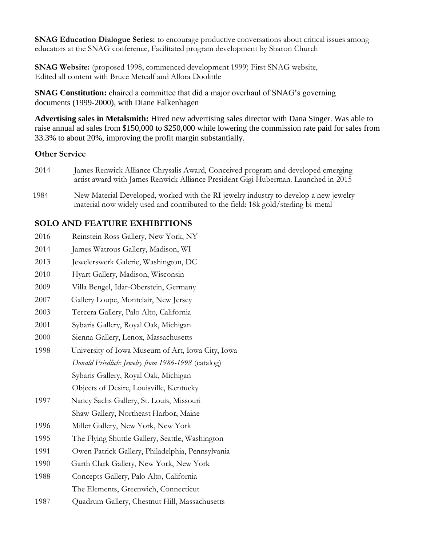**SNAG Education Dialogue Series:** to encourage productive conversations about critical issues among educators at the SNAG conference, Facilitated program development by Sharon Church

**SNAG Website:** (proposed 1998, commenced development 1999) First SNAG website, Edited all content with Bruce Metcalf and Allora Doolittle

**SNAG Constitution:** chaired a committee that did a major overhaul of SNAG's governing documents (1999-2000), with Diane Falkenhagen

**Advertising sales in Metalsmith:** Hired new advertising sales director with Dana Singer. Was able to raise annual ad sales from \$150,000 to \$250,000 while lowering the commission rate paid for sales from 33.3% to about 20%, improving the profit margin substantially.

### **Other Service**

- 2014 James Renwick Alliance Chrysalis Award, Conceived program and developed emerging artist award with James Renwick Alliance President Gigi Huberman. Launched in 2015
- 1984 New Material Developed, worked with the RI jewelry industry to develop a new jewelry material now widely used and contributed to the field: 18k gold/sterling bi-metal

## **SOLO AND FEATURE EXHIBITIONS**

- 2016 Reinstein Ross Gallery, New York, NY
- 2014 James Watrous Gallery, Madison, WI
- 2013 Jewelerswerk Galerie, Washington, DC
- 2010 Hyart Gallery, Madison, Wisconsin
- 2009 Villa Bengel, Idar-Oberstein, Germany
- 2007 Gallery Loupe, Montclair, New Jersey
- 2003 Tercera Gallery, Palo Alto, California
- 2001 Sybaris Gallery, Royal Oak, Michigan
- 2000 Sienna Gallery, Lenox, Massachusetts
- 1998 University of Iowa Museum of Art, Iowa City, Iowa *Donald Friedlich: Jewelry from 1986-1998* (catalog) Sybaris Gallery, Royal Oak, Michigan

Objects of Desire, Louisville, Kentucky

- 1997 Nancy Sachs Gallery, St. Louis, Missouri Shaw Gallery, Northeast Harbor, Maine
- 1996 Miller Gallery, New York, New York
- 1995 The Flying Shuttle Gallery, Seattle, Washington
- 1991 Owen Patrick Gallery, Philadelphia, Pennsylvania
- 1990 Garth Clark Gallery, New York, New York
- 1988 Concepts Gallery, Palo Alto, California
	- The Elements, Greenwich, Connecticut
- 1987 Quadrum Gallery, Chestnut Hill, Massachusetts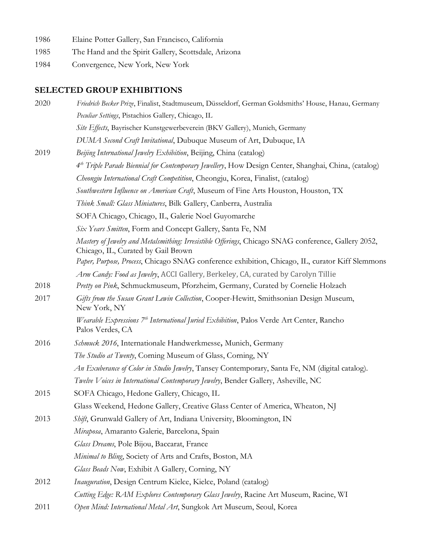- 1986 Elaine Potter Gallery, San Francisco, California
- 1985 The Hand and the Spirit Gallery, Scottsdale, Arizona
- 1984 Convergence, New York, New York

## **SELECTED GROUP EXHIBITIONS**

| 2020 | Friedrich Becker Prize, Finalist, Stadtmuseum, Düsseldorf, German Goldsmiths' House, Hanau, Germany                                        |
|------|--------------------------------------------------------------------------------------------------------------------------------------------|
|      | Peculiar Settings, Pistachios Gallery, Chicago, IL                                                                                         |
|      | Site Effects, Bayrischer Kunstgewerbeverein (BKV Gallery), Munich, Germany                                                                 |
|      | DUMA Second Craft Invitational, Dubuque Museum of Art, Dubuque, IA                                                                         |
| 2019 | Beijing International Jewelry Exhibition, Beijing, China (catalog)                                                                         |
|      | 4 <sup>th</sup> Triple Parade Biennial for Contemporary Jewellery, How Design Center, Shanghai, China, (catalog)                           |
|      | Cheongju International Craft Competition, Cheongju, Korea, Finalist, (catalog)                                                             |
|      | Southwestern Influence on American Craft, Museum of Fine Arts Houston, Houston, TX                                                         |
|      | Think Small: Glass Miniatures, Bilk Gallery, Canberra, Australia                                                                           |
|      | SOFA Chicago, Chicago, IL, Galerie Noel Guyomarche                                                                                         |
|      | Six Years Smitten, Form and Concept Gallery, Santa Fe, NM                                                                                  |
|      | Mastery of Jewelry and Metalsmithing: Irresistible Offerings, Chicago SNAG conference, Gallery 2052,<br>Chicago, IL, Curated by Gail Brown |
|      | Paper, Purpose, Process, Chicago SNAG conference exhibition, Chicago, IL, curator Kiff Slemmons                                            |
|      | Arm Candy: Food as Jewelry, ACCI Gallery, Berkeley, CA, curated by Carolyn Tillie                                                          |
| 2018 | Pretty on Pink, Schmuckmuseum, Pforzheim, Germany, Curated by Cornelie Holzach                                                             |
| 2017 | Gifts from the Susan Grant Lewin Collection, Cooper-Hewitt, Smithsonian Design Museum,<br>New York, NY                                     |
|      | Wearable Expressions 7 <sup>th</sup> International Juried Exhibition, Palos Verde Art Center, Rancho<br>Palos Verdes, CA                   |
| 2016 | Schmuck 2016, Internationale Handwerkmesse, Munich, Germany                                                                                |
|      | The Studio at Twenty, Corning Museum of Glass, Corning, NY                                                                                 |
|      | An Exuberance of Color in Studio Jewelry, Tansey Contemporary, Santa Fe, NM (digital catalog).                                             |
|      | Twelve Voices in International Contemporary Jewelry, Bender Gallery, Asheville, NC                                                         |
| 2015 | SOFA Chicago, Hedone Gallery, Chicago, IL                                                                                                  |
|      | Glass Weekend, Hedone Gallery, Creative Glass Center of America, Wheaton, NJ                                                               |
| 2013 | Shift, Grunwald Gallery of Art, Indiana University, Bloomington, IN                                                                        |
|      | Miraposa, Amaranto Galerie, Barcelona, Spain                                                                                               |
|      | Glass Dreams, Pole Bijou, Baccarat, France                                                                                                 |
|      | Minimal to Bling, Society of Arts and Crafts, Boston, MA                                                                                   |
|      | Glass Beads Now, Exhibit A Gallery, Corning, NY                                                                                            |
| 2012 | Inauguration, Design Centrum Kielce, Kielce, Poland (catalog)                                                                              |
|      | Cutting Edge: RAM Explores Contemporary Glass Jewelry, Racine Art Museum, Racine, WI                                                       |
| 2011 | Open Mind: International Metal Art, Sungkok Art Museum, Seoul, Korea                                                                       |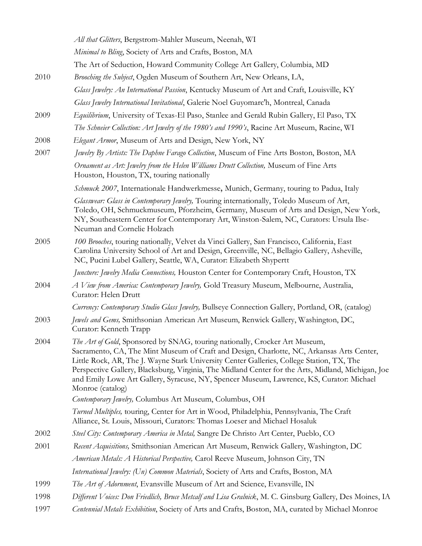|      | All that Glitters, Bergstrom-Mahler Museum, Neenah, WI                                                                                                                                                                                                                                                                                                                                                                                                                                      |
|------|---------------------------------------------------------------------------------------------------------------------------------------------------------------------------------------------------------------------------------------------------------------------------------------------------------------------------------------------------------------------------------------------------------------------------------------------------------------------------------------------|
|      | Minimal to Bling, Society of Arts and Crafts, Boston, MA                                                                                                                                                                                                                                                                                                                                                                                                                                    |
|      | The Art of Seduction, Howard Community College Art Gallery, Columbia, MD                                                                                                                                                                                                                                                                                                                                                                                                                    |
| 2010 | Brooching the Subject, Ogden Museum of Southern Art, New Orleans, LA,                                                                                                                                                                                                                                                                                                                                                                                                                       |
|      | Glass Jewelry: An International Passion, Kentucky Museum of Art and Craft, Louisville, KY                                                                                                                                                                                                                                                                                                                                                                                                   |
|      | Glass Jewelry International Invitational, Galerie Noel Guyomarc'h, Montreal, Canada                                                                                                                                                                                                                                                                                                                                                                                                         |
| 2009 | Equilibrium, University of Texas-El Paso, Stanlee and Gerald Rubin Gallery, El Paso, TX                                                                                                                                                                                                                                                                                                                                                                                                     |
|      | The Schneier Collection: Art Jewelry of the 1980's and 1990's, Racine Art Museum, Racine, WI                                                                                                                                                                                                                                                                                                                                                                                                |
| 2008 | Elegant Armor, Museum of Arts and Design, New York, NY                                                                                                                                                                                                                                                                                                                                                                                                                                      |
| 2007 | Jewelry By Artists: The Daphne Farago Collection, Museum of Fine Arts Boston, Boston, MA                                                                                                                                                                                                                                                                                                                                                                                                    |
|      | Ornament as Art: Jewelry from the Helen Williams Drutt Collection, Museum of Fine Arts<br>Houston, Houston, TX, touring nationally                                                                                                                                                                                                                                                                                                                                                          |
|      | Schmuck 2007, Internationale Handwerkmesse, Munich, Germany, touring to Padua, Italy                                                                                                                                                                                                                                                                                                                                                                                                        |
|      | Glasswear: Glass in Contemporary Jewelry, Touring internationally, Toledo Museum of Art,<br>Toledo, OH, Schmuckmuseum, Pforzheim, Germany, Museum of Arts and Design, New York,<br>NY, Southeastern Center for Contemporary Art, Winston-Salem, NC, Curators: Ursula Ilse-<br>Neuman and Cornelie Holzach                                                                                                                                                                                   |
| 2005 | 100 Brooches, touring nationally, Velvet da Vinci Gallery, San Francisco, California, East<br>Carolina University School of Art and Design, Greenville, NC, Bellagio Gallery, Asheville,<br>NC, Pucini Lubel Gallery, Seattle, WA, Curator: Elizabeth Shypertt                                                                                                                                                                                                                              |
|      | Juncture: Jewelry Media Connections, Houston Center for Contemporary Craft, Houston, TX                                                                                                                                                                                                                                                                                                                                                                                                     |
| 2004 | A View from America: Contemporary Jewelry, Gold Treasury Museum, Melbourne, Australia,<br>Curator: Helen Drutt                                                                                                                                                                                                                                                                                                                                                                              |
|      | Currency: Contemporary Studio Glass Jewelry, Bullseye Connection Gallery, Portland, OR, (catalog)                                                                                                                                                                                                                                                                                                                                                                                           |
| 2003 | Jewels and Gems, Smithsonian American Art Museum, Renwick Gallery, Washington, DC,<br>Curator: Kenneth Trapp                                                                                                                                                                                                                                                                                                                                                                                |
| 2004 | The Art of Gold, Sponsored by SNAG, touring nationally, Crocker Art Museum,<br>Sacramento, CA, The Mint Museum of Craft and Design, Charlotte, NC, Arkansas Arts Center,<br>Little Rock, AR, The J. Wayne Stark University Center Galleries, College Station, TX, The<br>Perspective Gallery, Blacksburg, Virginia, The Midland Center for the Arts, Midland, Michigan, Joe<br>and Emily Lowe Art Gallery, Syracuse, NY, Spencer Museum, Lawrence, KS, Curator: Michael<br>Monroe (catalog) |
|      | Contemporary Jewelry, Columbus Art Museum, Columbus, OH                                                                                                                                                                                                                                                                                                                                                                                                                                     |
|      | Turned Multiples, touring, Center for Art in Wood, Philadelphia, Pennsylvania, The Craft<br>Alliance, St. Louis, Missouri, Curators: Thomas Loeser and Michael Hosaluk                                                                                                                                                                                                                                                                                                                      |
| 2002 | Steel City: Contemporary America in Metal, Sangre De Christo Art Center, Pueblo, CO                                                                                                                                                                                                                                                                                                                                                                                                         |
| 2001 | Recent Acquisitions, Smithsonian American Art Museum, Renwick Gallery, Washington, DC                                                                                                                                                                                                                                                                                                                                                                                                       |
|      | American Metals: A Historical Perspective, Carol Reeve Museum, Johnson City, TN                                                                                                                                                                                                                                                                                                                                                                                                             |
|      | International Jewelry: (Un) Common Materials, Society of Arts and Crafts, Boston, MA                                                                                                                                                                                                                                                                                                                                                                                                        |
| 1999 | The Art of Adornment, Evansville Museum of Art and Science, Evansville, IN                                                                                                                                                                                                                                                                                                                                                                                                                  |
| 1998 | Different Voices: Don Friedlich, Bruce Metcalf and Lisa Gralnick, M. C. Ginsburg Gallery, Des Moines, IA                                                                                                                                                                                                                                                                                                                                                                                    |
| 1997 | Centennial Metals Exhibition, Society of Arts and Crafts, Boston, MA, curated by Michael Monroe                                                                                                                                                                                                                                                                                                                                                                                             |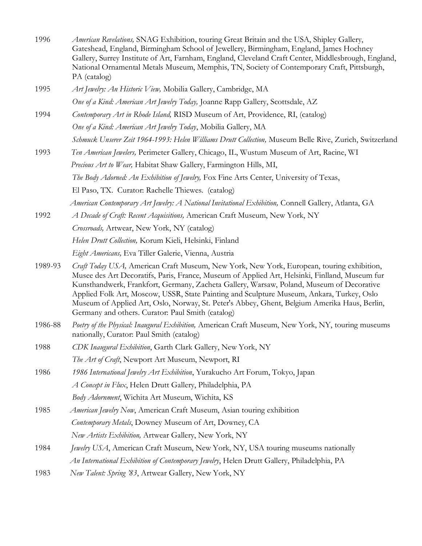| 1996    | American Revelations, SNAG Exhibition, touring Great Britain and the USA, Shipley Gallery,<br>Gateshead, England, Birmingham School of Jewellery, Birmingham, England, James Hochney<br>Gallery, Surrey Institute of Art, Farnham, England, Cleveland Craft Center, Middlesbrough, England,<br>National Ornamental Metals Museum, Memphis, TN, Society of Contemporary Craft, Pittsburgh,<br>PA (catalog)                                                                                                                                 |
|---------|-------------------------------------------------------------------------------------------------------------------------------------------------------------------------------------------------------------------------------------------------------------------------------------------------------------------------------------------------------------------------------------------------------------------------------------------------------------------------------------------------------------------------------------------|
| 1995    | Art Jewelry: An Historic View, Mobilia Gallery, Cambridge, MA                                                                                                                                                                                                                                                                                                                                                                                                                                                                             |
|         | One of a Kind: American Art Jewelry Today, Joanne Rapp Gallery, Scottsdale, AZ                                                                                                                                                                                                                                                                                                                                                                                                                                                            |
| 1994    | Contemporary Art in Rhode Island, RISD Museum of Art, Providence, RI, (catalog)                                                                                                                                                                                                                                                                                                                                                                                                                                                           |
|         | One of a Kind: American Art Jewelry Today, Mobilia Gallery, MA                                                                                                                                                                                                                                                                                                                                                                                                                                                                            |
|         | Schmuck Unserer Zeit 1964-1993: Helen Williams Drutt Collection, Museum Belle Rive, Zurich, Switzerland                                                                                                                                                                                                                                                                                                                                                                                                                                   |
| 1993    | Ten American Jewelers, Perimeter Gallery, Chicago, IL, Wustum Museum of Art, Racine, WI                                                                                                                                                                                                                                                                                                                                                                                                                                                   |
|         | Precious Art to Wear, Habitat Shaw Gallery, Farmington Hills, MI,                                                                                                                                                                                                                                                                                                                                                                                                                                                                         |
|         | The Body Adorned: An Exhibition of Jewelry, Fox Fine Arts Center, University of Texas,                                                                                                                                                                                                                                                                                                                                                                                                                                                    |
|         | El Paso, TX. Curator: Rachelle Thiewes. (catalog)                                                                                                                                                                                                                                                                                                                                                                                                                                                                                         |
|         | American Contemporary Art Jewelry: A National Invitational Exhibition, Connell Gallery, Atlanta, GA                                                                                                                                                                                                                                                                                                                                                                                                                                       |
| 1992    | A Decade of Craft: Recent Acquisitions, American Craft Museum, New York, NY                                                                                                                                                                                                                                                                                                                                                                                                                                                               |
|         | Crossroads, Artwear, New York, NY (catalog)                                                                                                                                                                                                                                                                                                                                                                                                                                                                                               |
|         | Helen Drutt Collection, Korum Kieli, Helsinki, Finland                                                                                                                                                                                                                                                                                                                                                                                                                                                                                    |
|         | Eight Americans, Eva Tiller Galerie, Vienna, Austria                                                                                                                                                                                                                                                                                                                                                                                                                                                                                      |
| 1989-93 | Craft Today USA, American Craft Museum, New York, New York, European, touring exhibition,<br>Musee des Art Decoratifs, Paris, France, Museum of Applied Art, Helsinki, Finlland, Museum fur<br>Kunsthandwerk, Frankfort, Germany, Zacheta Gallery, Warsaw, Poland, Museum of Decorative<br>Applied Folk Art, Moscow, USSR, State Painting and Sculpture Museum, Ankara, Turkey, Oslo<br>Museum of Applied Art, Oslo, Norway, St. Peter's Abbey, Ghent, Belgium Amerika Haus, Berlin,<br>Germany and others. Curator: Paul Smith (catalog) |
| 1986-88 | Poetry of the Physical: Inaugural Exhibition, American Craft Museum, New York, NY, touring museums<br>nationally, Curator: Paul Smith (catalog)                                                                                                                                                                                                                                                                                                                                                                                           |
| 1988    | CDK Inaugural Exhibition, Garth Clark Gallery, New York, NY                                                                                                                                                                                                                                                                                                                                                                                                                                                                               |
|         | The Art of Craft, Newport Art Museum, Newport, RI                                                                                                                                                                                                                                                                                                                                                                                                                                                                                         |
| 1986    | 1986 International Jewelry Art Exhibition, Yurakucho Art Forum, Tokyo, Japan                                                                                                                                                                                                                                                                                                                                                                                                                                                              |
|         | A Concept in Flux, Helen Drutt Gallery, Philadelphia, PA                                                                                                                                                                                                                                                                                                                                                                                                                                                                                  |
|         | Body Adornment, Wichita Art Museum, Wichita, KS                                                                                                                                                                                                                                                                                                                                                                                                                                                                                           |
| 1985    | American Jewelry Now, American Craft Museum, Asian touring exhibition                                                                                                                                                                                                                                                                                                                                                                                                                                                                     |
|         | Contemporary Metals, Downey Museum of Art, Downey, CA                                                                                                                                                                                                                                                                                                                                                                                                                                                                                     |
|         | New Artists Exhibition, Artwear Gallery, New York, NY                                                                                                                                                                                                                                                                                                                                                                                                                                                                                     |
| 1984    | Jewelry USA, American Craft Museum, New York, NY, USA touring museums nationally                                                                                                                                                                                                                                                                                                                                                                                                                                                          |
|         | An International Exhibition of Contemporary Jewelry, Helen Drutt Gallery, Philadelphia, PA                                                                                                                                                                                                                                                                                                                                                                                                                                                |
| 1983    | New Talent: Spring '83, Artwear Gallery, New York, NY                                                                                                                                                                                                                                                                                                                                                                                                                                                                                     |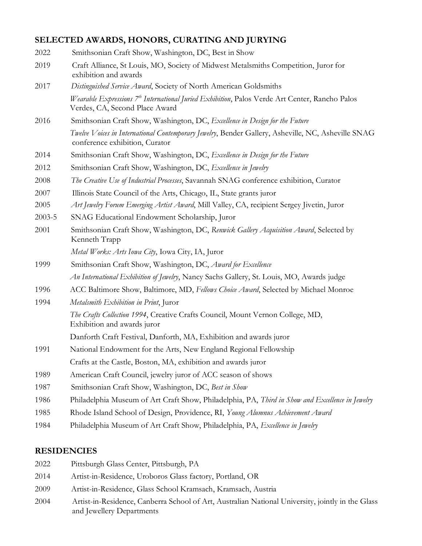## **SELECTED AWARDS, HONORS, CURATING AND JURYING**

| 2022   | Smithsonian Craft Show, Washington, DC, Best in Show                                                                                         |
|--------|----------------------------------------------------------------------------------------------------------------------------------------------|
| 2019   | Craft Alliance, St Louis, MO, Society of Midwest Metalsmiths Competition, Juror for<br>exhibition and awards                                 |
| 2017   | Distinguished Service Award, Society of North American Goldsmiths                                                                            |
|        | Wearable Expressions 7 <sup>th</sup> International Juried Exhibition, Palos Verde Art Center, Rancho Palos<br>Verdes, CA, Second Place Award |
| 2016   | Smithsonian Craft Show, Washington, DC, Excellence in Design for the Future                                                                  |
|        | Twelve Voices in International Contemporary Jewelry, Bender Gallery, Asheville, NC, Asheville SNAG<br>conference exhibition, Curator         |
| 2014   | Smithsonian Craft Show, Washington, DC, Excellence in Design for the Future                                                                  |
| 2012   | Smithsonian Craft Show, Washington, DC, Excellence in Jewelry                                                                                |
| 2008   | The Creative Use of Industrial Processes, Savannah SNAG conference exhibition, Curator                                                       |
| 2007   | Illinois State Council of the Arts, Chicago, IL, State grants juror                                                                          |
| 2005   | Art Jewelry Forum Emerging Artist Award, Mill Valley, CA, recipient Sergey Jivetin, Juror                                                    |
| 2003-5 | SNAG Educational Endowment Scholarship, Juror                                                                                                |
| 2001   | Smithsonian Craft Show, Washington, DC, Renwick Gallery Acquisition Award, Selected by<br>Kenneth Trapp                                      |
|        | Metal Works: Arts Iowa City, Iowa City, IA, Juror                                                                                            |
| 1999   | Smithsonian Craft Show, Washington, DC, Award for Excellence                                                                                 |
|        | An International Exhibition of Jewelry, Nancy Sachs Gallery, St. Louis, MO, Awards judge                                                     |
| 1996   | ACC Baltimore Show, Baltimore, MD, Fellows Choice Award, Selected by Michael Monroe                                                          |
| 1994   | Metalsmith Exhibition in Print, Juror                                                                                                        |
|        | The Crafts Collection 1994, Creative Crafts Council, Mount Vernon College, MD,<br>Exhibition and awards juror                                |
|        | Danforth Craft Festival, Danforth, MA, Exhibition and awards juror                                                                           |
| 1991   | National Endowment for the Arts, New England Regional Fellowship                                                                             |
|        | Crafts at the Castle, Boston, MA, exhibition and awards juror                                                                                |
| 1989   | American Craft Council, jewelry juror of ACC season of shows                                                                                 |
| 1987   | Smithsonian Craft Show, Washington, DC, Best in Show                                                                                         |
| 1986   | Philadelphia Museum of Art Craft Show, Philadelphia, PA, Third in Show and Excellence in Jewelry                                             |
| 1985   | Rhode Island School of Design, Providence, RI, Young Alumnus Achievement Award                                                               |
| 1984   | Philadelphia Museum of Art Craft Show, Philadelphia, PA, Excellence in Jewelry                                                               |

### **RESIDENCIES**

- 2022 Pittsburgh Glass Center, Pittsburgh, PA
- 2014 Artist-in-Residence, Uroboros Glass factory, Portland, OR
- 2009 Artist-in-Residence, Glass School Kramsach, Kramsach, Austria
- 2004 Artist-in-Residence, Canberra School of Art, Australian National University, jointly in the Glass and Jewellery Departments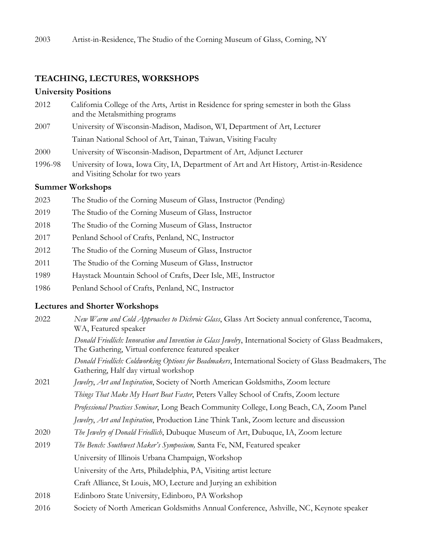#### **TEACHING, LECTURES, WORKSHOPS**

#### **University Positions**

- 2012 California College of the Arts, Artist in Residence for spring semester in both the Glass and the Metalsmithing programs
- 2007 University of Wisconsin-Madison, Madison, WI, Department of Art, Lecturer Tainan National School of Art, Tainan, Taiwan, Visiting Faculty
- 2000 University of Wisconsin-Madison, Department of Art, Adjunct Lecturer
- 1996-98 University of Iowa, Iowa City, IA, Department of Art and Art History, Artist-in-Residence and Visiting Scholar for two years

#### **Summer Workshops**

- 2023 The Studio of the Corning Museum of Glass, Instructor (Pending)
- 2019 The Studio of the Corning Museum of Glass, Instructor
- 2018 The Studio of the Corning Museum of Glass, Instructor
- 2017 Penland School of Crafts, Penland, NC, Instructor
- 2012 The Studio of the Corning Museum of Glass, Instructor
- 2011 The Studio of the Corning Museum of Glass, Instructor
- 1989 Haystack Mountain School of Crafts, Deer Isle, ME, Instructor
- 1986 Penland School of Crafts, Penland, NC, Instructor

#### **Lectures and Shorter Workshops**

- 2022 *New Warm and Cold Approaches to Dichroic Glass*, Glass Art Society annual conference, Tacoma, WA, Featured speaker *Donald Friedlich: Innovation and Invention in Glass Jewelry*, International Society of Glass Beadmakers, The Gathering, Virtual conference featured speaker *Donald Friedlich: Coldworking Options for Beadmakers*, International Society of Glass Beadmakers, The Gathering, Half day virtual workshop 2021 *Jewelry*, *Art and Inspiration*, Society of North American Goldsmiths, Zoom lecture *Things That Make My Heart Beat Faster*, Peters Valley School of Crafts, Zoom lecture *Professional Practices Seminar*, Long Beach Community College, Long Beach, CA, Zoom Panel *Jewelry*, *Art and Inspiration*, Production Line Think Tank, Zoom lecture and discussion 2020 *The Jewelry of Donald Friedlich*, Dubuque Museum of Art, Dubuque, IA, Zoom lecture 2019 *The Bench: Southwest Maker's Symposium,* Santa Fe, NM, Featured speaker University of Illinois Urbana Champaign, Workshop University of the Arts, Philadelphia, PA, Visiting artist lecture Craft Alliance, St Louis, MO, Lecture and Jurying an exhibition 2018 Edinboro State University, Edinboro, PA Workshop
- 2016 Society of North American Goldsmiths Annual Conference, Ashville, NC, Keynote speaker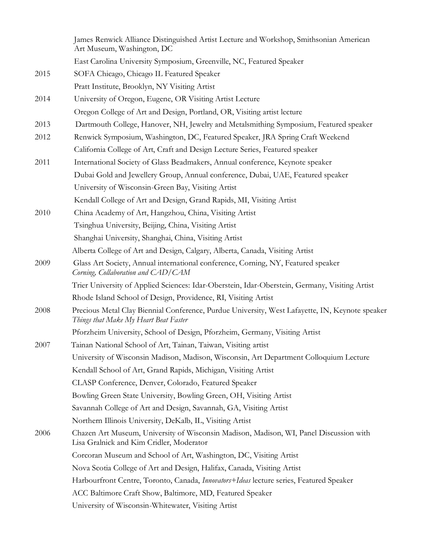James Renwick Alliance Distinguished Artist Lecture and Workshop, Smithsonian American Art Museum, Washington, DC East Carolina University Symposium, Greenville, NC, Featured Speaker 2015 SOFA Chicago, Chicago IL Featured Speaker Pratt Institute, Brooklyn, NY Visiting Artist 2014 University of Oregon, Eugene, OR Visiting Artist Lecture Oregon College of Art and Design, Portland, OR, Visiting artist lecture 2013 Dartmouth College, Hanover, NH, Jewelry and Metalsmithing Symposium, Featured speaker 2012 Renwick Symposium, Washington, DC, Featured Speaker, JRA Spring Craft Weekend California College of Art, Craft and Design Lecture Series, Featured speaker 2011 International Society of Glass Beadmakers, Annual conference, Keynote speaker Dubai Gold and Jewellery Group, Annual conference, Dubai, UAE, Featured speaker University of Wisconsin-Green Bay, Visiting Artist Kendall College of Art and Design, Grand Rapids, MI, Visiting Artist 2010 China Academy of Art, Hangzhou, China, Visiting Artist Tsinghua University, Beijing, China, Visiting Artist Shanghai University, Shanghai, China, Visiting Artist Alberta College of Art and Design, Calgary, Alberta, Canada, Visiting Artist 2009 Glass Art Society, Annual international conference, Corning, NY, Featured speaker *Corning, Collaboration and CAD/CAM* Trier University of Applied Sciences: Idar-Oberstein, Idar-Oberstein, Germany, Visiting Artist Rhode Island School of Design, Providence, RI, Visiting Artist 2008 Precious Metal Clay Biennial Conference, Purdue University, West Lafayette, IN, Keynote speaker  *Things that Make My Heart Beat Faster* Pforzheim University, School of Design, Pforzheim, Germany, Visiting Artist 2007 Tainan National School of Art, Tainan, Taiwan, Visiting artist University of Wisconsin Madison, Madison, Wisconsin, Art Department Colloquium Lecture Kendall School of Art, Grand Rapids, Michigan, Visiting Artist CLASP Conference, Denver, Colorado, Featured Speaker Bowling Green State University, Bowling Green, OH, Visiting Artist Savannah College of Art and Design, Savannah, GA, Visiting Artist Northern Illinois University, DeKalb, IL, Visiting Artist 2006 Chazen Art Museum, University of Wisconsin Madison, Madison, WI, Panel Discussion with Lisa Gralnick and Kim Cridler, Moderator Corcoran Museum and School of Art, Washington, DC, Visiting Artist Nova Scotia College of Art and Design, Halifax, Canada, Visiting Artist Harbourfront Centre, Toronto, Canada, *Innovators+Ideas* lecture series, Featured Speaker ACC Baltimore Craft Show, Baltimore, MD, Featured Speaker University of Wisconsin-Whitewater, Visiting Artist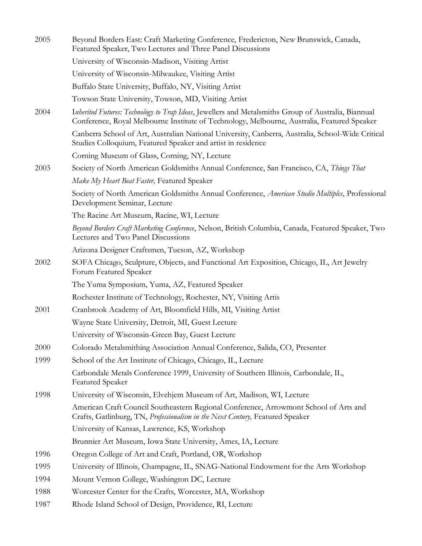| 2005 | Beyond Borders East: Craft Marketing Conference, Fredericton, New Brunswick, Canada,<br>Featured Speaker, Two Lectures and Three Panel Discussions                                                 |
|------|----------------------------------------------------------------------------------------------------------------------------------------------------------------------------------------------------|
|      | University of Wisconsin-Madison, Visiting Artist                                                                                                                                                   |
|      | University of Wisconsin-Milwaukee, Visiting Artist                                                                                                                                                 |
|      | Buffalo State University, Buffalo, NY, Visiting Artist                                                                                                                                             |
|      | Towson State University, Towson, MD, Visiting Artist                                                                                                                                               |
| 2004 | Inherited Futures: Technology to Trap Ideas, Jewellers and Metalsmiths Group of Australia, Biannual<br>Conference, Royal Melbourne Institute of Technology, Melbourne, Australia, Featured Speaker |
|      | Canberra School of Art, Australian National University, Canberra, Australia, School-Wide Critical<br>Studies Colloquium, Featured Speaker and artist in residence                                  |
|      | Corning Museum of Glass, Corning, NY, Lecture                                                                                                                                                      |
| 2003 | Society of North American Goldsmiths Annual Conference, San Francisco, CA, Things That                                                                                                             |
|      | Make My Heart Beat Faster, Featured Speaker                                                                                                                                                        |
|      | Society of North American Goldsmiths Annual Conference, <i>American Studio Multiples</i> , Professional<br>Development Seminar, Lecture                                                            |
|      | The Racine Art Museum, Racine, WI, Lecture                                                                                                                                                         |
|      | Beyond Borders Craft Marketing Conference, Nelson, British Columbia, Canada, Featured Speaker, Two<br>Lectures and Two Panel Discussions                                                           |
|      | Arizona Designer Craftsmen, Tucson, AZ, Workshop                                                                                                                                                   |
| 2002 | SOFA Chicago, Sculpture, Objects, and Functional Art Exposition, Chicago, IL, Art Jewelry<br>Forum Featured Speaker                                                                                |
|      | The Yuma Symposium, Yuma, AZ, Featured Speaker                                                                                                                                                     |
|      | Rochester Institute of Technology, Rochester, NY, Visiting Artis                                                                                                                                   |
| 2001 | Cranbrook Academy of Art, Bloomfield Hills, MI, Visiting Artist                                                                                                                                    |
|      | Wayne State University, Detroit, MI, Guest Lecture                                                                                                                                                 |
|      | University of Wisconsin-Green Bay, Guest Lecture                                                                                                                                                   |
| 2000 | Colorado Metalsmithing Association Annual Conference, Salida, CO, Presenter                                                                                                                        |
| 1999 | School of the Art Institute of Chicago, Chicago, IL, Lecture                                                                                                                                       |
|      | Carbondale Metals Conference 1999, University of Southern Illinois, Carbondale, IL,<br><b>Featured Speaker</b>                                                                                     |
| 1998 | University of Wisconsin, Elvehjem Museum of Art, Madison, WI, Lecture                                                                                                                              |
|      | American Craft Council Southeastern Regional Conference, Arrowmont School of Arts and<br>Crafts, Gatlinburg, TN, Professionalism in the Next Century, Featured Speaker                             |
|      | University of Kansas, Lawrence, KS, Workshop                                                                                                                                                       |
|      | Brunnier Art Museum, Iowa State University, Ames, IA, Lecture                                                                                                                                      |
| 1996 | Oregon College of Art and Craft, Portland, OR, Workshop                                                                                                                                            |
| 1995 | University of Illinois, Champagne, IL, SNAG-National Endowment for the Arts Workshop                                                                                                               |
| 1994 | Mount Vernon College, Washington DC, Lecture                                                                                                                                                       |
| 1988 | Worcester Center for the Crafts, Worcester, MA, Workshop                                                                                                                                           |
| 1987 | Rhode Island School of Design, Providence, RI, Lecture                                                                                                                                             |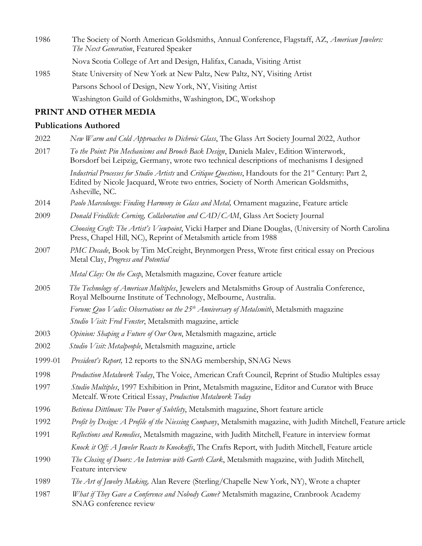1986 The Society of North American Goldsmiths, Annual Conference, Flagstaff, AZ, *American Jewelers: The Next Generation*, Featured Speaker Nova Scotia College of Art and Design, Halifax, Canada, Visiting Artist 1985 State University of New York at New Paltz, New Paltz, NY, Visiting Artist Parsons School of Design, New York, NY, Visiting Artist

Washington Guild of Goldsmiths, Washington, DC, Workshop

## **PRINT AND OTHER MEDIA**

#### **Publications Authored**

- 2022 *New Warm and Cold Approaches to Dichroic Glass*, The Glass Art Society Journal 2022, Author
- 2017 *To the Point: Pin Mechanisms and Brooch Back Design*, Daniela Malev, Edition Winterwork, Borsdorf bei Leipzig, Germany, wrote two technical descriptions of mechanisms I designed *Industrial Processes for Studio Artists* and *Critique Questions*, Handouts for the 21st Century: Part 2,

Edited by Nicole Jacquard, Wrote two entries*,* Society of North American Goldsmiths, Asheville, NC.

- 2014 *Paolo Marcolongo: Finding Harmony in Glass and Metal,* Ornament magazine, Feature article
- 2009 *Donald Friedlich: Corning, Collaboration and CAD/CAM*, Glass Art Society Journal *Choosing Craft: The Artist's Viewpoint*, Vicki Harper and Diane Douglas, (University of North Carolina Press, Chapel Hill, NC), Reprint of Metalsmith article from 1988
- 2007 *PMC Decade*, Book by Tim McCreight, Brynmorgen Press, Wrote first critical essay on Precious Metal Clay, *Progress and Potential*

 *Metal Clay: On the Cusp*, Metalsmith magazine*,* Cover feature article

2005 *The Technology of American Multiples*, Jewelers and Metalsmiths Group of Australia Conference, Royal Melbourne Institute of Technology, Melbourne, Australia. *Forum: Quo Vadis: Observations on the 25th Anniversary of Metalsmith*, Metalsmith magazine

*Studio Visit: Fred Fenster*, Metalsmith magazine, article

- 2003 *Opinion: Shaping a Future of Our Own*, Metalsmith magazine, article
- 2002 *Studio Visit: Metalpeople*, Metalsmith magazine, article
- 1999-01 *President's Report,* 12 reports to the SNAG membership, SNAG News
- 1998 *Production Metalwork Today*, The Voice, American Craft Council, Reprint of Studio Multiples essay
- 1997 *Studio Multiples*, 1997 Exhibition in Print, Metalsmith magazine, Editor and Curator with Bruce Metcalf. Wrote Critical Essay, *Production Metalwork Today*
- 1996 *Betinna Dittlman: The Power of Subtlety*, Metalsmith magazine, Short feature article
- 1992 *Profit by Design: A Profile of the Niessing Company*, Metalsmith magazine, with Judith Mitchell, Feature article
- 1991 *Reflections and Remedies*, Metalsmith magazine, with Judith Mitchell, Feature in interview format *Knock it Off: A Jeweler Reacts to Knockoffs*, The Crafts Report, with Judith Mitchell, Feature article
- 1990 *The Closing of Doors: An Interview with Garth Clark*, Metalsmith magazine, with Judith Mitchell, Feature interview
- 1989 *The Art of Jewelry Making,* Alan Revere (Sterling/Chapelle New York, NY), Wrote a chapter
- 1987 *What if They Gave a Conference and Nobody Came?* Metalsmith magazine, Cranbrook Academy SNAG conference review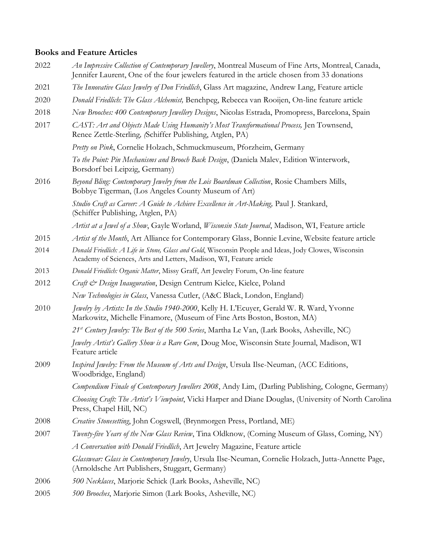## **Books and Feature Articles**

| 2022 | An Impressive Collection of Contemporary Jewellery, Montreal Museum of Fine Arts, Montreal, Canada,<br>Jennifer Laurent, One of the four jewelers featured in the article chosen from 33 donations |
|------|----------------------------------------------------------------------------------------------------------------------------------------------------------------------------------------------------|
| 2021 | The Innovative Glass Jewelry of Don Friedlich, Glass Art magazine, Andrew Lang, Feature article                                                                                                    |
| 2020 | Donald Friedlich: The Glass Alchemist, Benchpeg, Rebecca van Rooijen, On-line feature article                                                                                                      |
| 2018 | New Brooches: 400 Contemporary Jewellery Designs, Nicolas Estrada, Promopress, Barcelona, Spain                                                                                                    |
| 2017 | CAST: Art and Objects Made Using Humanity's Most Transformational Process, Jen Townsend,<br>Renee Zettle-Sterling, (Schiffer Publishing, Atglen, PA)                                               |
|      | Pretty on Pink, Cornelie Holzach, Schmuckmuseum, Pforzheim, Germany                                                                                                                                |
|      | To the Point: Pin Mechanisms and Brooch Back Design, (Daniela Malev, Edition Winterwork,<br>Borsdorf bei Leipzig, Germany)                                                                         |
| 2016 | Beyond Bling: Contemporary Jewelry from the Lois Boardman Collection, Rosie Chambers Mills,<br>Bobbye Tigerman, (Los Angeles County Museum of Art)                                                 |
|      | Studio Craft as Career: A Guide to Achieve Excellence in Art-Making, Paul J. Stankard,<br>(Schiffer Publishing, Atglen, PA)                                                                        |
|      | Artist at a Jewel of a Show, Gayle Worland, Wisconsin State Journal, Madison, WI, Feature article                                                                                                  |
| 2015 | Artist of the Month, Art Alliance for Contemporary Glass, Bonnie Levine, Website feature article                                                                                                   |
| 2014 | Donald Friedlich: A Life in Stone, Glass and Gold, Wisconsin People and Ideas, Jody Clowes, Wisconsin<br>Academy of Sciences, Arts and Letters, Madison, WI, Feature article                       |
| 2013 | Donald Friedlich: Organic Matter, Missy Graff, Art Jewelry Forum, On-line feature                                                                                                                  |
| 2012 | Craft & Design Inauguration, Design Centrum Kielce, Kielce, Poland                                                                                                                                 |
|      | New Technologies in Glass, Vanessa Cutler, (A&C Black, London, England)                                                                                                                            |
| 2010 | Jewelry by Artists: In the Studio 1940-2000, Kelly H. L'Ecuyer, Gerald W. R. Ward, Yvonne<br>Markowitz, Michelle Finamore, (Museum of Fine Arts Boston, Boston, MA)                                |
|      | 21 <sup>st</sup> Century Jewelry: The Best of the 500 Series, Martha Le Van, (Lark Books, Asheville, NC)                                                                                           |
|      | Jewelry Artist's Gallery Show is a Rare Gem, Doug Moe, Wisconsin State Journal, Madison, WI<br>Feature article                                                                                     |
| 2009 | Inspired Jewelry: From the Museum of Arts and Design, Ursula Ilse-Neuman, (ACC Editions,<br>Woodbridge, England)                                                                                   |
|      | Compendium Finale of Contemporary Jewellers 2008, Andy Lim, (Darling Publishing, Cologne, Germany)                                                                                                 |
|      | Choosing Craft: The Artist's Viewpoint, Vicki Harper and Diane Douglas, (University of North Carolina<br>Press, Chapel Hill, NC)                                                                   |
| 2008 | Creative Stonesetting, John Cogswell, (Brynmorgen Press, Portland, ME)                                                                                                                             |
| 2007 | <i>Twenty-five Years of the New Glass Review</i> , Tina Oldknow, (Corning Museum of Glass, Corning, NY)                                                                                            |
|      | A Conversation with Donald Friedlich, Art Jewelry Magazine, Feature article                                                                                                                        |
|      | Glasswear: Glass in Contemporary Jewelry, Ursula Ilse-Neuman, Cornelie Holzach, Jutta-Annette Page,<br>(Arnoldsche Art Publishers, Stuggart, Germany)                                              |
| 2006 | 500 Necklaces, Marjorie Schick (Lark Books, Asheville, NC)                                                                                                                                         |
| 2005 | 500 Brooches, Marjorie Simon (Lark Books, Asheville, NC)                                                                                                                                           |
|      |                                                                                                                                                                                                    |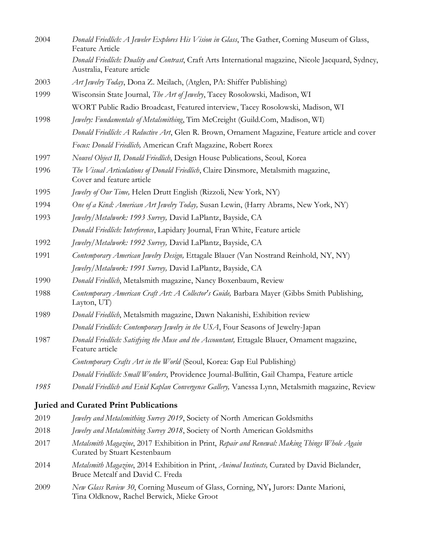| 2004 | Donald Friedlich: A Jeweler Explores His Vision in Glass, The Gather, Corning Museum of Glass,<br>Feature Article                 |
|------|-----------------------------------------------------------------------------------------------------------------------------------|
|      | Donald Friedlich: Duality and Contrast, Craft Arts International magazine, Nicole Jacquard, Sydney,<br>Australia, Feature article |
| 2003 | Art Jewelry Today, Dona Z. Meilach, (Atglen, PA: Shiffer Publishing)                                                              |
| 1999 | Wisconsin State Journal, The Art of Jewelry, Tacey Rosolowski, Madison, WI                                                        |
|      | WORT Public Radio Broadcast, Featured interview, Tacey Rosolowski, Madison, WI                                                    |
| 1998 | Jewelry: Fundamentals of Metalsmithing, Tim McCreight (Guild.Com, Madison, WI)                                                    |
|      | Donald Friedlich: A Reductive Art, Glen R. Brown, Ornament Magazine, Feature article and cover                                    |
|      | Focus: Donald Friedlich, American Craft Magazine, Robert Rorex                                                                    |
| 1997 | Nouvel Object II, Donald Friedlich, Design House Publications, Seoul, Korea                                                       |
| 1996 | The Visual Articulations of Donald Friedlich, Claire Dinsmore, Metalsmith magazine,<br>Cover and feature article                  |
| 1995 | Jewelry of Our Time, Helen Drutt English (Rizzoli, New York, NY)                                                                  |
| 1994 | One of a Kind: American Art Jewelry Today, Susan Lewin, (Harry Abrams, New York, NY)                                              |
| 1993 | Jewelry/Metalwork: 1993 Survey, David LaPlantz, Bayside, CA                                                                       |
|      | Donald Friedlich: Interference, Lapidary Journal, Fran White, Feature article                                                     |
| 1992 | Jewelry/Metalwork: 1992 Survey, David LaPlantz, Bayside, CA                                                                       |
| 1991 | Contemporary American Jewelry Design, Ettagale Blauer (Van Nostrand Reinhold, NY, NY)                                             |
|      | Jewelry/Metalwork: 1991 Survey, David LaPlantz, Bayside, CA                                                                       |
| 1990 | Donald Friedlich, Metalsmith magazine, Nancy Boxenbaum, Review                                                                    |
| 1988 | Contemporary American Craft Art: A Collector's Guide, Barbara Mayer (Gibbs Smith Publishing,<br>Layton, UT)                       |
| 1989 | Donald Friedlich, Metalsmith magazine, Dawn Nakanishi, Exhibition review                                                          |
|      | Donald Friedlich: Contemporary Jewelry in the USA, Four Seasons of Jewelry-Japan                                                  |
| 1987 | Donald Friedlich: Satisfying the Muse and the Accountant, Ettagale Blauer, Ornament magazine,<br>Feature article                  |
|      | Contemporary Crafts Art in the World (Seoul, Korea: Gap Eul Publishing)                                                           |
|      | Donald Friedlich: Small Wonders, Providence Journal-Bullitin, Gail Champa, Feature article                                        |
| 1985 | Donald Friedlich and Enid Kaplan Convergence Gallery, Vanessa Lynn, Metalsmith magazine, Review                                   |
|      | <b>Juried and Curated Print Publications</b>                                                                                      |

- 2019 *Jewelry and Metalsmithing Survey 2019*, Society of North American Goldsmiths
- 2018 *Jewelry and Metalsmithing Survey 2018*, Society of North American Goldsmiths
- 2017 *Metalsmith Magazine*, 2017 Exhibition in Print, *Repair and Renewal: Making Things Whole Again* Curated by Stuart Kestenbaum
- 2014 *Metalsmith Magazine*, 2014 Exhibition in Print, *Animal Instincts,* Curated by David Bielander, Bruce Metcalf and David C. Freda
- 2009 *New Glass Review 30*, Corning Museum of Glass, Corning, NY**,** Jurors: Dante Marioni, Tina Oldknow, Rachel Berwick, Mieke Groot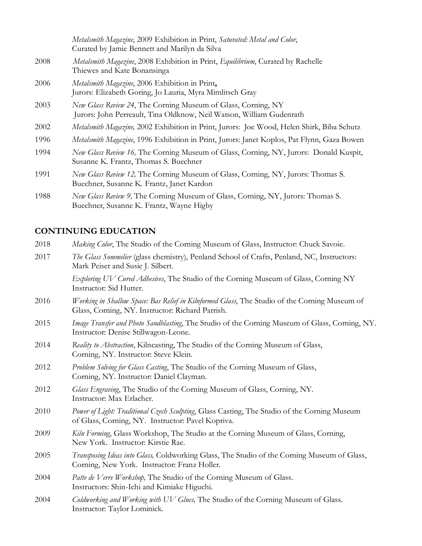|      | Metalsmith Magazine, 2009 Exhibition in Print, Saturated: Metal and Color,<br>Curated by Jamie Bennett and Marilyn da Silva           |
|------|---------------------------------------------------------------------------------------------------------------------------------------|
| 2008 | Metalsmith Magazine, 2008 Exhibition in Print, Equilibrium, Curated by Rachelle<br>Thiewes and Kate Bonansinga                        |
| 2006 | Metalsmith Magazine, 2006 Exhibition in Print,<br>Jurors: Elizabeth Goring, Jo Lauria, Myra Mimlitsch Gray                            |
| 2003 | New Glass Review 24, The Corning Museum of Glass, Corning, NY<br>Jurors: John Perreault, Tina Oldknow, Neil Watson, William Gudenrath |
| 2002 | Metalsmith Magazine, 2002 Exhibition in Print, Jurors: Joe Wood, Helen Shirk, Biba Schutz                                             |
| 1996 | Metalsmith Magazine, 1996 Exhibition in Print, Jurors: Janet Koplos, Pat Flynn, Gaza Bowen                                            |
| 1994 | New Glass Review 16, The Corning Museum of Glass, Corning, NY, Jurors: Donald Kuspit,<br>Susanne K. Frantz, Thomas S. Buechner        |
| 1991 | New Glass Review 12, The Corning Museum of Glass, Corning, NY, Jurors: Thomas S.<br>Buechner, Susanne K. Frantz, Janet Kardon         |
| 1988 | New Glass Review 9, The Corning Museum of Glass, Corning, NY, Jurors: Thomas S.                                                       |

## **CONTINUING EDUCATION**

Buechner, Susanne K. Frantz, Wayne Higby

| 2018 | Making Color, The Studio of the Corning Museum of Glass, Instructor: Chuck Savoie.                                                                |
|------|---------------------------------------------------------------------------------------------------------------------------------------------------|
| 2017 | The Glass Sommelier (glass chemistry), Penland School of Crafts, Penland, NC, Instructors:<br>Mark Peiser and Susie J. Silbert.                   |
|      | Exploring UV Cured Adhesives, The Studio of the Corning Museum of Glass, Corning NY<br>Instructor: Sid Hutter.                                    |
| 2016 | Working in Shallow Space: Bas Relief in Kilnformed Glass, The Studio of the Corning Museum of<br>Glass, Corning, NY. Instructor: Richard Parrish. |
| 2015 | Image Transfer and Photo Sandblasting, The Studio of the Corning Museum of Glass, Corning, NY.<br>Instructor: Denise Stillwagon-Leone.            |
| 2014 | Reality to Abstraction, Kilncasting, The Studio of the Corning Museum of Glass,<br>Corning, NY. Instructor: Steve Klein.                          |
| 2012 | Problem Solving for Glass Casting, The Studio of the Corning Museum of Glass,<br>Corning, NY. Instructor: Daniel Clayman.                         |
| 2012 | Glass Engraving, The Studio of the Corning Museum of Glass, Corning, NY.<br>Instructor: Max Erlacher.                                             |
| 2010 | Power of Light: Traditional Czech Sculpting, Glass Casting, The Studio of the Corning Museum<br>of Glass, Corning, NY. Instructor: Pavel Kopriva. |
| 2009 | Kiln Forming, Glass Workshop, The Studio at the Corning Museum of Glass, Corning,<br>New York. Instructor: Kirstie Rae.                           |
| 2005 | Transposing Ideas into Glass, Coldworking Glass, The Studio of the Corning Museum of Glass,<br>Corning, New York. Instructor: Franz Holler.       |
| 2004 | Patte de Verre Workshop, The Studio of the Corning Museum of Glass.<br>Instructors: Shin-Ichi and Kimiake Higuchi.                                |
| 2004 | Coldworking and Working with UV Glues, The Studio of the Corning Museum of Glass.<br>Instructor: Taylor Lominick.                                 |